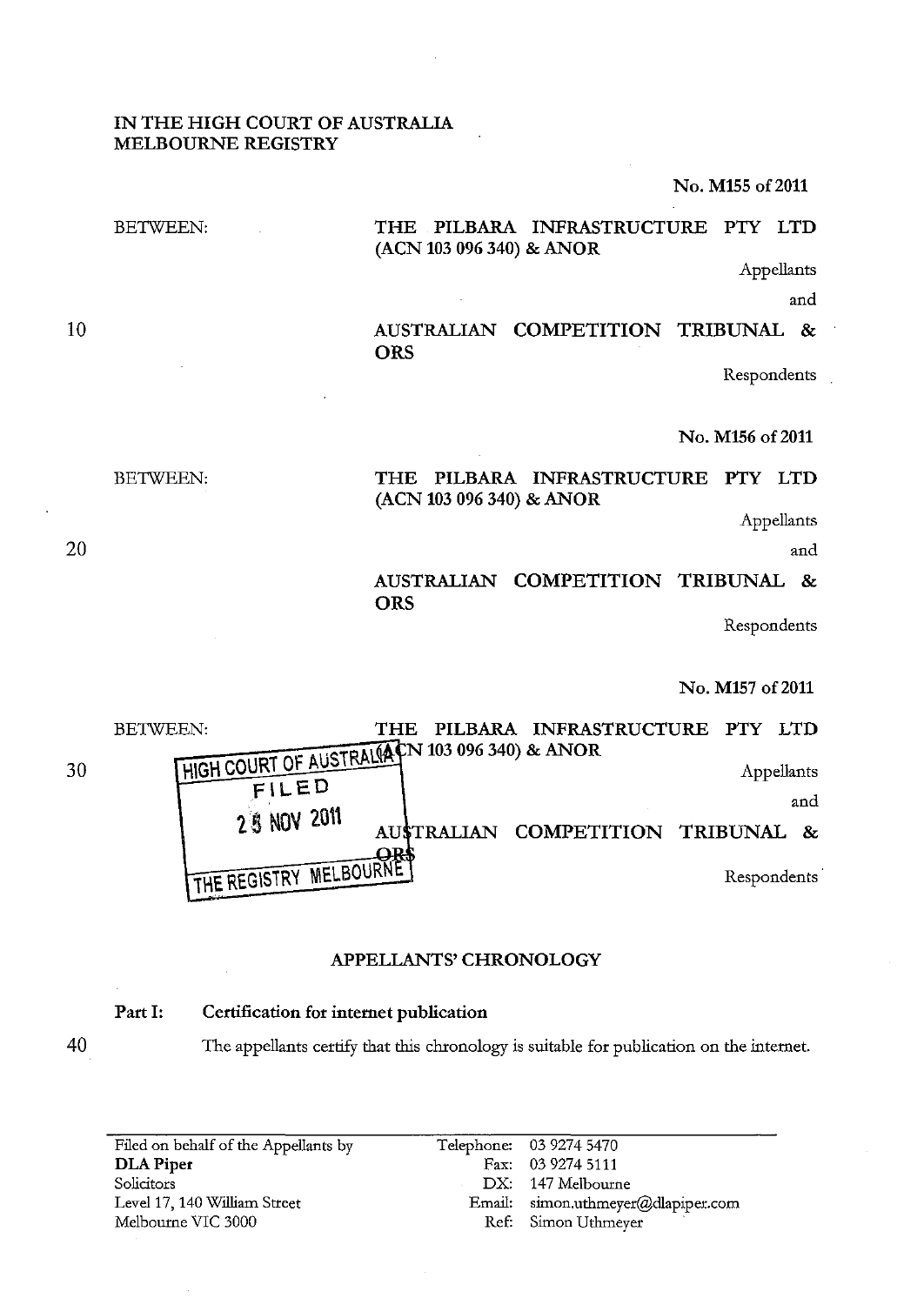## IN THE HIGH COURT OF AUSTRALIA MELBOURNE REGISTRY

No. M155 of 2011

#### BETWEEN: THE PILBARA INFRASTRUCTURE PTY LTD (ACN 103 096 340) & ANOR

Appellants

and

# AUSTRALIAN COMPETITION TRIBUNAL & **ORS**

Respondents

## No. M156 of 2011

# THE PILBARA INFRASTRUCTURE PTY LTD (ACN 103 096 340) & ANOR

Appellants

and

# AUSTRALIAN COMPETITION TRIBUNAL & **ORS**

Respondents

### No. M157 of 2011

30 BETWEEN: THE PILBARA INFRASTRUCTURE PTY LTD HIGH COURT OF AUSTRAL(ACN 103 096 340) & ANOR FILED Appellants and 2<sup>1</sup> NOV 2011 AUSTRALIAN COMPETITION TRIBUNAL &  $-$ QR. THE REGISTRY MELBOURNE

# APPELLANTS' CHRONOLOGY

## Part I: Certification for internet publication

40

The appellants certify that this chronology is suitable for publication on the internet.

| Filed on behalf of the Appellants by | Telephone: 03 9274 5470            |
|--------------------------------------|------------------------------------|
| <b>DLA</b> Piper                     | Fax: 03 9274 5111                  |
| Solicitors                           | DX: 147 Melbourne                  |
| Level 17, 140 William Street         | Email: simon.uthmeyer@dlapiper.com |
| Melbourne VIC 3000                   | Ref: Simon Uthmeyer                |

20

BETWEEN:

10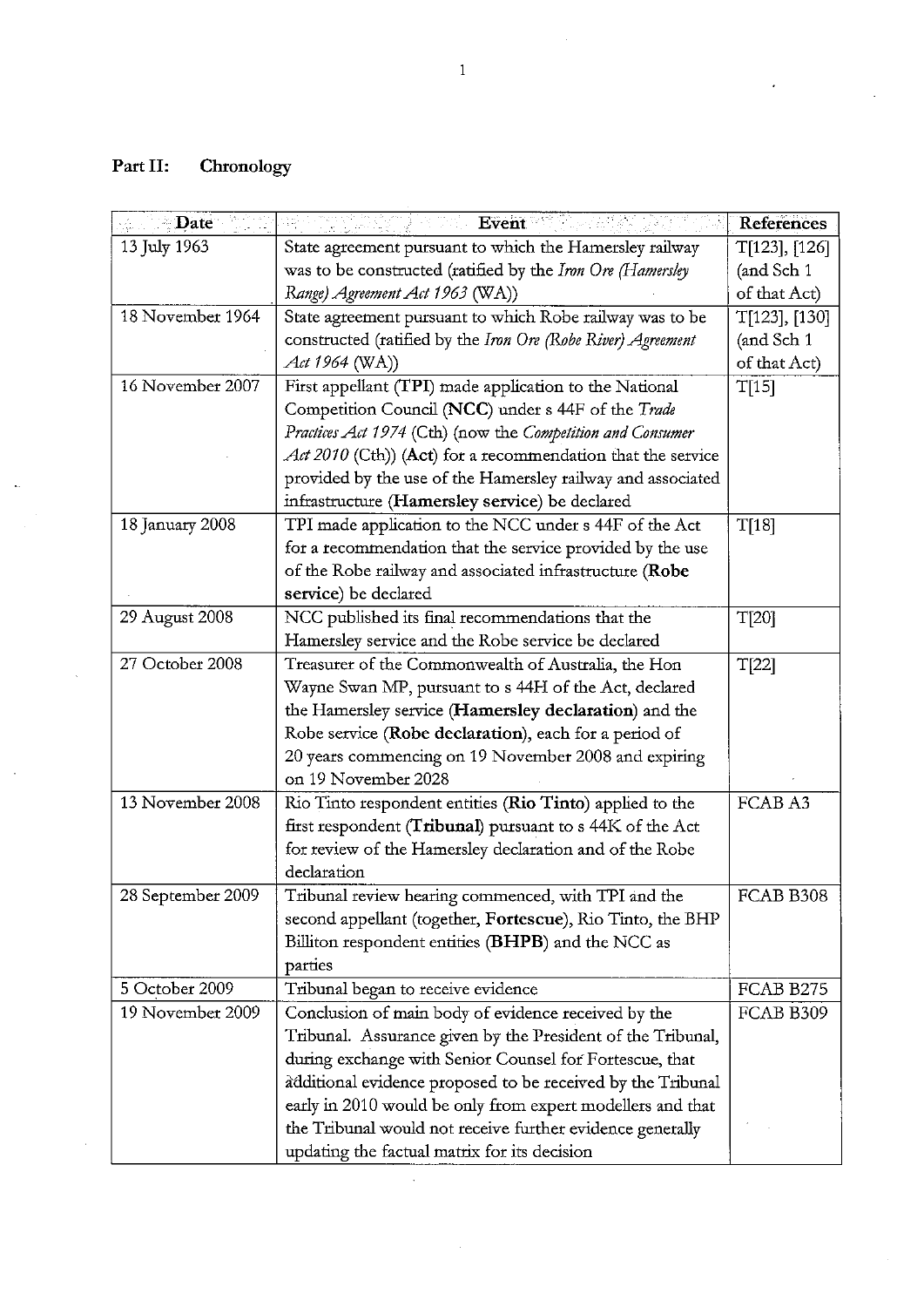# **Part II: Chronology**

 $\langle \rangle$ 

 $\sim 10^7$ 

 $\sim$ 

 $\sim$ 

| Date              | Event                                                        | <b>References</b> |
|-------------------|--------------------------------------------------------------|-------------------|
| 13 July 1963      | State agreement pursuant to which the Hamersley railway      | T[123], [126]     |
|                   | was to be constructed (ratified by the Iron Ore (Hamersley   | (and Sch 1        |
|                   | Range) Agreement Act 1963 (WA))                              | of that Act)      |
| 18 November 1964  | State agreement pursuant to which Robe railway was to be     | T[123], [130]     |
|                   | constructed (ratified by the Iron Ore (Robe River) Agreement | (and Sch 1        |
|                   | Act 1964 (WA))                                               | of that Act)      |
| 16 November 2007  | First appellant (TPI) made application to the National       | T[15]             |
|                   | Competition Council (NCC) under s 44F of the Trade           |                   |
|                   | Practices Act 1974 (Cth) (now the Competition and Consumer   |                   |
|                   | Act 2010 (Cth)) (Act) for a recommendation that the service  |                   |
|                   | provided by the use of the Hamersley railway and associated  |                   |
|                   | infrastructure (Hamersley service) be declared               |                   |
| 18 January 2008   | TPI made application to the NCC under s 44F of the Act       | T[18]             |
|                   | for a recommendation that the service provided by the use    |                   |
|                   | of the Robe railway and associated infrastructure (Robe      |                   |
|                   | service) be declared                                         |                   |
| 29 August 2008    | NCC published its final recommendations that the             | T[20]             |
|                   | Hamersley service and the Robe service be declared           |                   |
| 27 October 2008   | Treasurer of the Commonwealth of Australia, the Hon          | T[22]             |
|                   | Wayne Swan MP, pursuant to s 44H of the Act, declared        |                   |
|                   | the Hamersley service (Hamersley declaration) and the        |                   |
|                   | Robe service (Robe declaration), each for a period of        |                   |
|                   | 20 years commencing on 19 November 2008 and expiring         |                   |
|                   | on 19 November 2028                                          |                   |
| 13 November 2008  | Rio Tinto respondent entities (Rio Tinto) applied to the     | FCAB A3           |
|                   | first respondent (Tribunal) pursuant to s 44K of the Act     |                   |
|                   | for review of the Hamersley declaration and of the Robe      |                   |
|                   | declaration                                                  |                   |
| 28 September 2009 | Tribunal review hearing commenced, with TPI and the          | FCAB B308         |
|                   | second appellant (together, Fortescue), Rio Tinto, the BHP   |                   |
|                   | Billiton respondent entities (BHPB) and the NCC as           |                   |
|                   | parties                                                      |                   |
| 5 October 2009    | Tribunal began to receive evidence                           | FCAB B275         |
| 19 November 2009  | Conclusion of main body of evidence received by the          | FCAB B309         |
|                   | Tribunal. Assurance given by the President of the Tribunal,  |                   |
|                   | during exchange with Senior Counsel for Fortescue, that      |                   |
|                   | additional evidence proposed to be received by the Tribunal  |                   |
|                   | early in 2010 would be only from expert modellers and that   |                   |
|                   | the Tribunal would not receive further evidence generally    |                   |
|                   | updating the factual matrix for its decision                 |                   |

 $\sim 10^7$ 

 $\hat{\mathcal{L}}$ 

 $\ddot{\phantom{0}}$ 

 $\sim$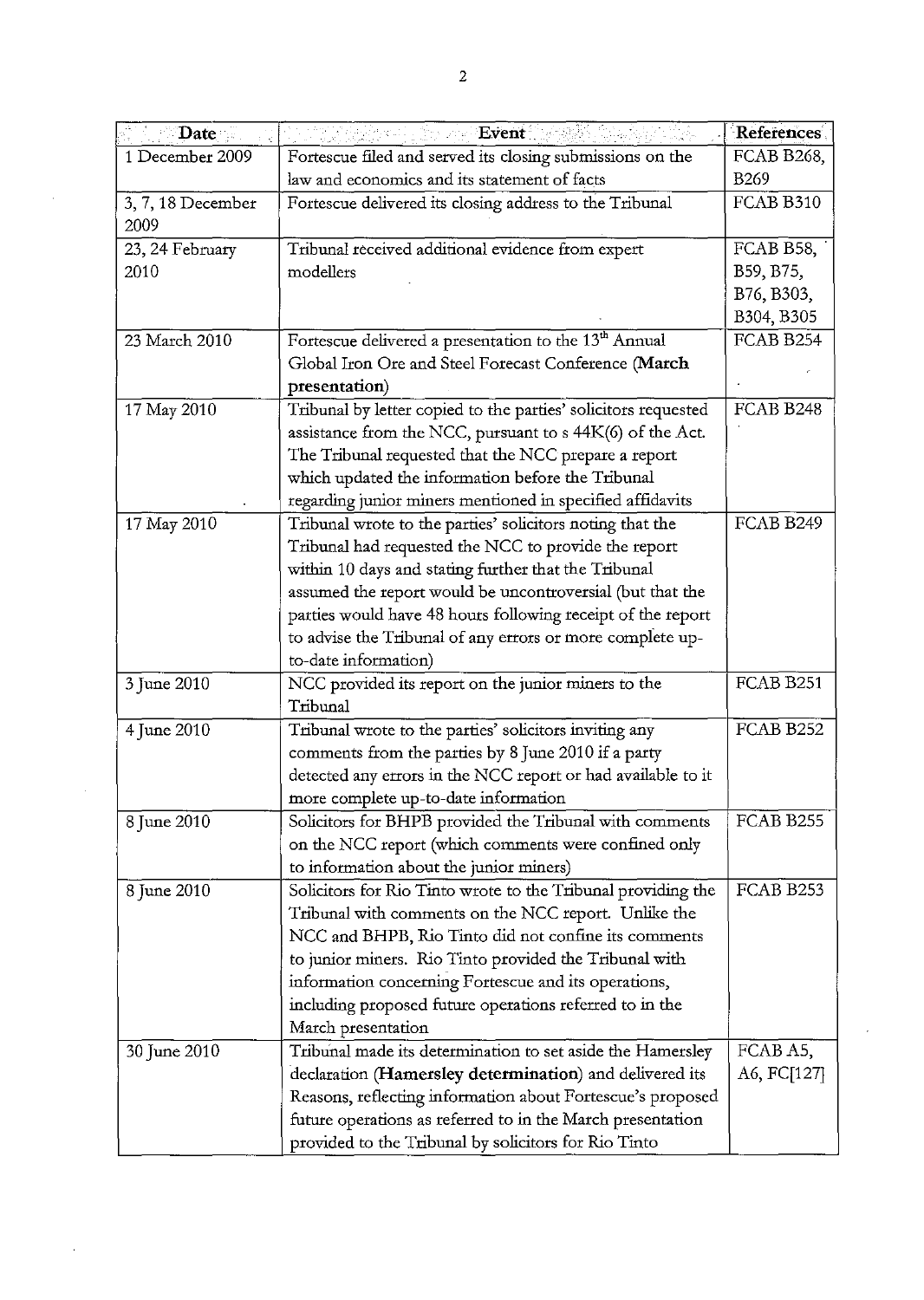| Date is                                                                      | Event                                                             | <b>References</b> |
|------------------------------------------------------------------------------|-------------------------------------------------------------------|-------------------|
| Fortescue filed and served its closing submissions on the<br>1 December 2009 |                                                                   | FCAB B268,        |
|                                                                              | law and economics and its statement of facts                      | B <sub>269</sub>  |
| 3, 7, 18 December<br>2009                                                    | Fortescue delivered its closing address to the Tribunal           | FCAB B310         |
| 23, 24 February                                                              | Tribunal received additional evidence from expert                 | FCAB B58,         |
| 2010                                                                         | modellers                                                         | B59, B75,         |
|                                                                              |                                                                   | B76, B303,        |
|                                                                              |                                                                   | B304, B305        |
| 23 March 2010                                                                | Fortescue delivered a presentation to the 13 <sup>th</sup> Annual | FCAB B254         |
|                                                                              | Global Iron Ore and Steel Forecast Conference (March              |                   |
|                                                                              | presentation)                                                     |                   |
| 17 May 2010                                                                  | Tribunal by letter copied to the parties' solicitors requested    | FCAB B248         |
|                                                                              | assistance from the NCC, pursuant to s 44K(6) of the Act.         |                   |
|                                                                              | The Tribunal requested that the NCC prepare a report              |                   |
|                                                                              | which updated the information before the Tribunal                 |                   |
|                                                                              | regarding junior miners mentioned in specified affidavits         |                   |
| 17 May 2010                                                                  | Tribunal wrote to the parties' solicitors noting that the         | FCAB B249         |
|                                                                              | Tribunal had requested the NCC to provide the report              |                   |
|                                                                              | within 10 days and stating further that the Tribunal              |                   |
|                                                                              | assumed the report would be uncontroversial (but that the         |                   |
|                                                                              | parties would have 48 hours following receipt of the report       |                   |
|                                                                              | to advise the Tribunal of any errors or more complete up-         |                   |
|                                                                              | to-date information)                                              |                   |
| 3 June 2010                                                                  | NCC provided its report on the junior miners to the               | FCAB B251         |
|                                                                              | Tribunal                                                          |                   |
| 4 June 2010                                                                  | Tribunal wrote to the parties' solicitors inviting any            | FCAB B252         |
|                                                                              | comments from the parties by 8 June 2010 if a party               |                   |
|                                                                              | detected any errors in the NCC report or had available to it      |                   |
|                                                                              | more complete up-to-date information                              |                   |
| 8 June 2010                                                                  | Solicitors for BHPB provided the Tribunal with comments           | FCAB B255         |
|                                                                              | on the NCC report (which comments were confined only              |                   |
|                                                                              | to information about the junior miners)                           |                   |
| 8 June 2010                                                                  | Solicitors for Rio Tinto wrote to the Tribunal providing the      | FCAB B253         |
|                                                                              | Tribunal with comments on the NCC report. Unlike the              |                   |
|                                                                              | NCC and BHPB, Rio Tinto did not confine its comments              |                   |
|                                                                              | to junior miners. Rio Tinto provided the Tribunal with            |                   |
|                                                                              | information concerning Fortescue and its operations,              |                   |
|                                                                              | including proposed future operations referred to in the           |                   |
|                                                                              | March presentation                                                |                   |
| 30 June 2010                                                                 | Tribunal made its determination to set aside the Hamersley        | FCAB A5,          |
|                                                                              | declaration (Hamersley determination) and delivered its           | A6, FC[127]       |
|                                                                              | Reasons, reflecting information about Fortescue's proposed        |                   |
|                                                                              | future operations as referred to in the March presentation        |                   |
|                                                                              | provided to the Tribunal by solicitors for Rio Tinto              |                   |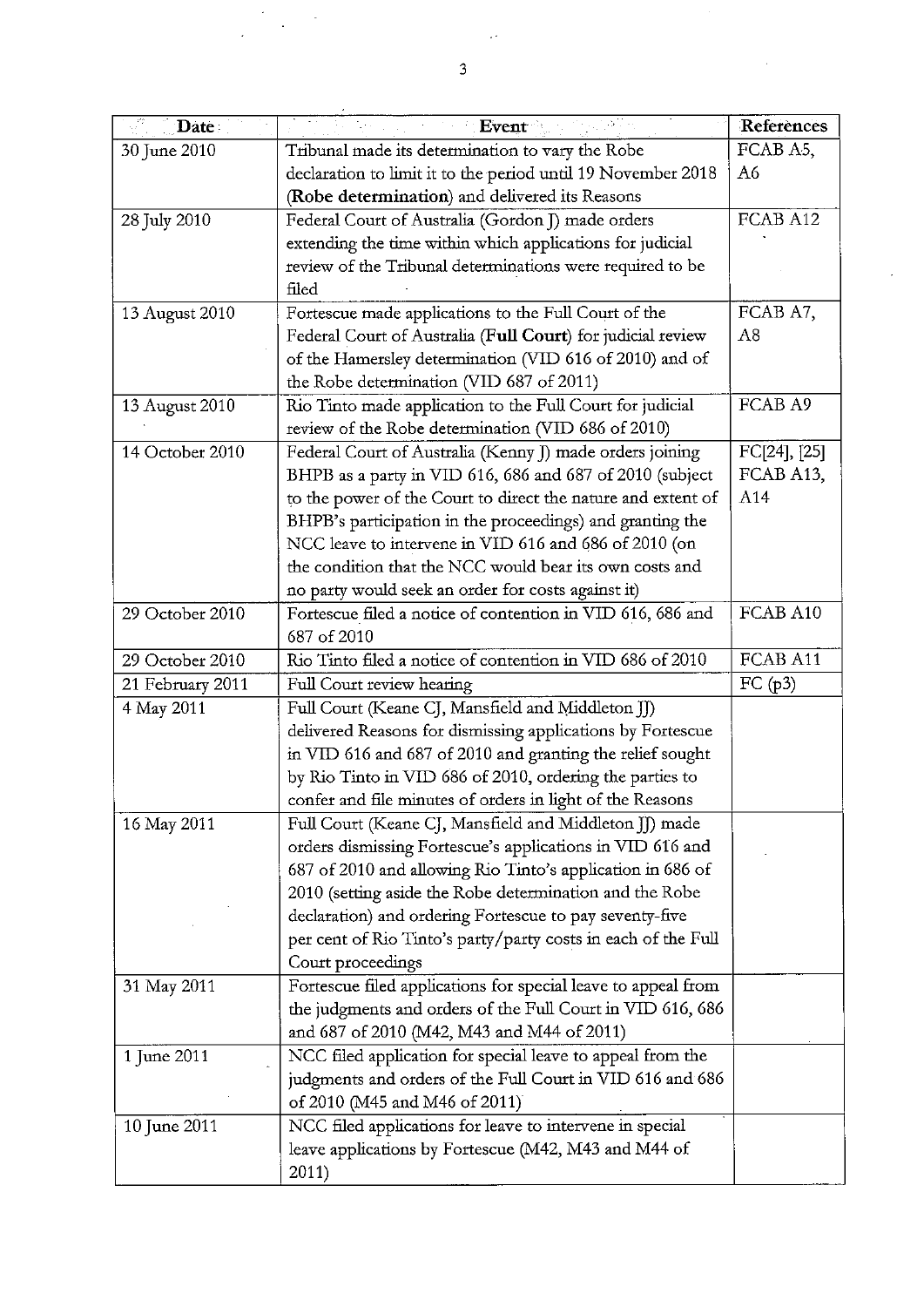| Date:            | Event                                                         | Referènces   |
|------------------|---------------------------------------------------------------|--------------|
| 30 June 2010     | Tribunal made its determination to vary the Robe              | FCAB A5,     |
|                  | declaration to limit it to the period until 19 November 2018  | A6           |
|                  | (Robe determination) and delivered its Reasons                |              |
| 28 July 2010     | Federal Court of Australia (Gordon J) made orders             | FCAB A12     |
|                  | extending the time within which applications for judicial     |              |
|                  | review of the Tribunal determinations were required to be     |              |
|                  | filed                                                         |              |
| 13 August 2010   | Fortescue made applications to the Full Court of the          | FCAB A7,     |
|                  | Federal Court of Australia (Full Court) for judicial review   | A8           |
|                  | of the Hamersley determination (VID 616 of 2010) and of       |              |
|                  | the Robe determination (VID 687 of 2011)                      |              |
| 13 August 2010   | Rio Tinto made application to the Full Court for judicial     | FCAB A9      |
|                  | review of the Robe determination (VID 686 of 2010)            |              |
| 14 October 2010  | Federal Court of Australia (Kenny J) made orders joining      | FC[24], [25] |
|                  | BHPB as a party in VID 616, 686 and 687 of 2010 (subject      | FCAB A13,    |
|                  | to the power of the Court to direct the nature and extent of  | A14          |
|                  | BHPB's participation in the proceedings) and granting the     |              |
|                  | NCC leave to intervene in VID 616 and 686 of 2010 (on         |              |
|                  | the condition that the NCC would bear its own costs and       |              |
|                  | no party would seek an order for costs against it)            |              |
| 29 October 2010  | Fortescue filed a notice of contention in VID 616, 686 and    | FCAB A10     |
|                  | 687 of 2010                                                   |              |
| 29 October 2010  | Rio Tinto filed a notice of contention in VID 686 of 2010     | FCAB A11     |
| 21 February 2011 | Full Court review hearing                                     | FC (p3)      |
| 4 May 2011       | Full Court (Keane CJ, Mansfield and Middleton JJ)             |              |
|                  | delivered Reasons for dismissing applications by Fortescue    |              |
|                  | in VID 616 and 687 of 2010 and granting the relief sought     |              |
|                  | by Rio Tinto in VID 686 of 2010, ordering the parties to      |              |
|                  | confer and file minutes of orders in light of the Reasons     |              |
| 16 May 2011      | Full Court (Keane CJ, Mansfield and Middleton JJ) made        |              |
|                  | orders dismissing Fortescue's applications in VID 616 and     |              |
|                  | 687 of 2010 and allowing Rio Tinto's application in 686 of    |              |
|                  | 2010 (setting aside the Robe determination and the Robe       |              |
|                  | declaration) and ordering Fortescue to pay seventy-five       |              |
|                  | per cent of Rio Tinto's party/party costs in each of the Full |              |
|                  | Court proceedings                                             |              |
| 31 May 2011      | Fortescue filed applications for special leave to appeal from |              |
|                  | the judgments and orders of the Full Court in VID 616, 686    |              |
|                  | and 687 of 2010 (M42, M43 and M44 of 2011)                    |              |
| 1 June 2011      | NCC filed application for special leave to appeal from the    |              |
|                  | judgments and orders of the Full Court in VID 616 and 686     |              |
|                  | of 2010 (M45 and M46 of 2011)                                 |              |
| 10 June 2011     | NCC filed applications for leave to intervene in special      |              |
|                  | leave applications by Fortescue (M42, M43 and M44 of          |              |
|                  | 2011)                                                         |              |

 $\hat{\boldsymbol{\beta}}$